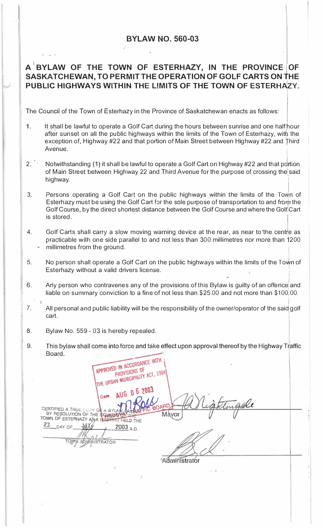## **BYLAW NO. 560-03**

## A<sup>**<sup>1</sup>BYLAW OF THE TOWN OF ESTERHAZY, IN THE PROVINCE OF</sup> SASKATCHEWAN, TO PERMIT THE OPERATION OF GOLF CARTS ON tHE PUBLIC HIGHWAYS WITHIN THE LIMITS OF THE TOWN OF ESTERH�ZY.**

The Council of the Town of Esterhazy in the Province of Saskatchewan enacts as follows:

- 1. It shall be lawful to operate a Golf Cart during the hours between sunrise and one half hour after sunset on all the public highways within the limits of the Town of Esterhazy, with the exception of, Highway #22 and that portion of Main Street between Highway #22 and Third<br>Avenue. Avenue.
- $2.$ Notwithstanding (1) it shall be lawful to operate a Golf Cart on Highway #22 and that p rtion of Main Street between Highway 22 and Third Avenue for the purpose of crossing the\ said highway.
- 3. Persons operating a Golf Cart on the public highways within the limits of the Town of Esterhazy must be using the Golf Cart for the sole purpose of transportation to and from the Golf Course, by the direct shortest distance between the Golf Course and where the Golf Cart is stored.
- 4. Golf Carts shall carry a slow moving warning device at the rear, as near to the centre as practicable with one side parallel to and not less than 300. millimetres nor more than 1200 millimetres from the ground.
- 5. No person shall operate a Golf Cart on the public highways within the limits of the Town of Esterhazy without a valid drivers license.
- 6. Arly person who contravenes any of the provisions of this Bylaw is guilty of an offence and liable on summary conviction to a fine of not less than \$25.00 and not more than  $$100,00$ .
- 7. All personal and public liability will be the responsibility of the owner/operator of the said golf cart.
- 8. Bylaw No. 559 - 03 is hereby repealed.
- 9. This bylaw shall come into force and take effect upon approval thereof by the Highway Traffic **Board**

APPROVED IN ACCORDANCE WITH **D IN ACCONDITY** APPROVED IN WISIONS OF PROVISIONS OF THE URBAN MUNICIPALITY ACT, 1984 n 6 2003 *\_e(.*nati CERTIFIED A TRUE : **OF A BYLAN BAS**<br>BY RESOLUTION OF THE **COMBAN BELD**<br>TOWN OF ESTERHAZY AJ?A NELTING HELD Mayor 23  $J/f$  $2003$ <sub>A.D.</sub> DAY OF *,t*  TOXY) **RATOR** Administrator